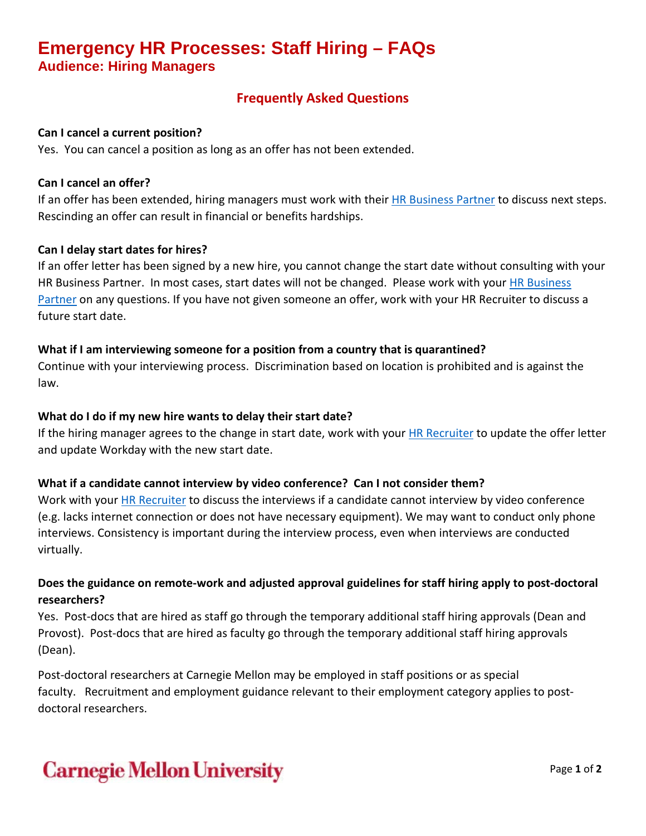## **Emergency HR Processes: Staff Hiring – FAQs Audience: Hiring Managers**

## **Frequently Asked Questions**

#### **Can I cancel a current position?**

Yes. You can cancel a position as long as an offer has not been extended.

#### **Can I cancel an offer?**

If an offer has been extended, hiring managers must work with their [HR Business Partner](https://www.cmu.edu/hr/resources/hr-partners/hr-services/hr-managers.html) to discuss next steps. Rescinding an offer can result in financial or benefits hardships.

#### **Can I delay start dates for hires?**

If an offer letter has been signed by a new hire, you cannot change the start date without consulting with your HR Business Partner. In most cases, start dates will not be changed. Please work with your HR [Business](https://www.cmu.edu/hr/resources/hr-partners/hr-services/hr-managers.html)  [Partner](https://www.cmu.edu/hr/resources/hr-partners/hr-services/hr-managers.html) on any questions. If you have not given someone an offer, work with your HR Recruiter to discuss a future start date.

#### **What if I am interviewing someone for a position from a country that is quarantined?**

Continue with your interviewing process. Discrimination based on location is prohibited and is against the law.

#### **What do I do if my new hire wants to delay their start date?**

If the hiring manager agrees to the change in start date, work with your [HR Recruiter](https://www.cmu.edu/hr/resources/hr-partners/hr-services/hr-managers.html) to update the offer letter and update Workday with the new start date.

#### **What if a candidate cannot interview by video conference? Can I not consider them?**

Work with you[r HR Recruiter](https://www.cmu.edu/hr/resources/hr-partners/hr-services/hr-managers.html) to discuss the interviews if a candidate cannot interview by video conference (e.g. lacks internet connection or does not have necessary equipment). We may want to conduct only phone interviews. Consistency is important during the interview process, even when interviews are conducted virtually.

### **Does the guidance on remote-work and adjusted approval guidelines for staff hiring apply to post-doctoral researchers?**

Yes. Post-docs that are hired as staff go through the temporary additional staff hiring approvals (Dean and Provost). Post-docs that are hired as faculty go through the temporary additional staff hiring approvals (Dean).

Post-doctoral researchers at Carnegie Mellon may be employed in staff positions or as special faculty. Recruitment and employment guidance relevant to their employment category applies to postdoctoral researchers.